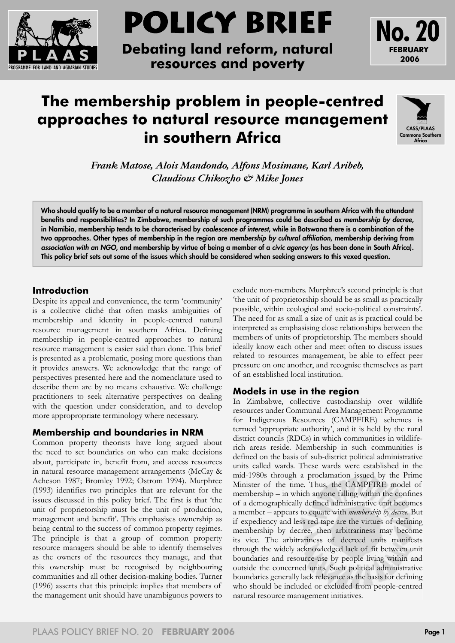

# **POLICY BRIEF**

**Debating land reform, natural resources and poverty**





**FEBRUARY 2006**

**No. 20**

*Frank Matose, Alois Mandondo, Alfons Mosimane, Karl Aribeb, Claudious Chikozho & Mike Jones*

**Who should qualify to be a member of a natural resource management (NRM) programme in southern Africa with the attendant benefits and responsibilities? In Zimbabwe, membership of such programmes could be described as** *membership by decree***, in Namibia, membership tends to be characterised by** *coalescence of interest***, while in Botswana there is a combination of the two approaches. Other types of membership in the region are** *membership by cultural affiliation***, membership deriving from**  *association with an NGO***, and membership by virtue of being a member of a** *civic agency* **(as has been done in South Africa). This policy brief sets out some of the issues which should be considered when seeking answers to this vexed question.**

## **Introduction**

Despite its appeal and convenience, the term 'community' is a collective cliché that often masks ambiguities of membership and identity in people-centred natural resource management in southern Africa. Defining membership in people-centred approaches to natural resource management is easier said than done. This brief is presented as a problematic, posing more questions than it provides answers. We acknowledge that the range of perspectives presented here and the nomenclature used to describe them are by no means exhaustive. We challenge practitioners to seek alternative perspectives on dealing with the question under consideration, and to develop more appropropriate terminology where necessary.

## **Membership and boundaries in NRM**

Common property theorists have long argued about the need to set boundaries on who can make decisions about, participate in, benefit from, and access resources in natural resource management arrangements (McCay & Acheson 1987; Bromley 1992; Ostrom 1994). Murphree (1993) identifies two principles that are relevant for the issues discussed in this policy brief. The first is that 'the unit of proprietorship must be the unit of production, management and benefit'. This emphasises ownership as being central to the success of common property regimes. The principle is that a group of common property resource managers should be able to identify themselves as the owners of the resources they manage, and that this ownership must be recognised by neighbouring communities and all other decision-making bodies. Turner (1996) asserts that this principle implies that members of the management unit should have unambiguous powers to

exclude non-members. Murphree's second principle is that 'the unit of proprietorship should be as small as practically possible, within ecological and socio-political constraints'. The need for as small a size of unit as is practical could be interpreted as emphasising close relationships between the members of units of proprietorship. The members should ideally know each other and meet often to discuss issues related to resources management, be able to effect peer pressure on one another, and recognise themselves as part of an established local institution.

## **Models in use in the region**

In Zimbabwe, collective custodianship over wildlife resources under Communal Area Management Programme for Indigenous Resources (CAMPFIRE) schemes is termed 'appropriate authority', and it is held by the rural district councils (RDCs) in which communities in wildliferich areas reside. Membership in such communities is defined on the basis of sub-district political administrative units called wards. These wards were established in the mid-1980s through a proclamation issued by the Prime Minister of the time. Thus, the CAMPFIRE model of membership – in which anyone falling within the confines of a demographically defined administrative unit becomes a member – appears to equate with *membership by decree*. But if expediency and less red tape are the virtues of defining membership by decree, then arbitrariness may become its vice. The arbitrariness of decreed units manifests through the widely acknowledged lack of fit between unit boundaries and resource-use by people living within and outside the concerned units. Such political administrative boundaries generally lack relevance as the basis for defining who should be included or excluded from people-centred natural resource management initiatives.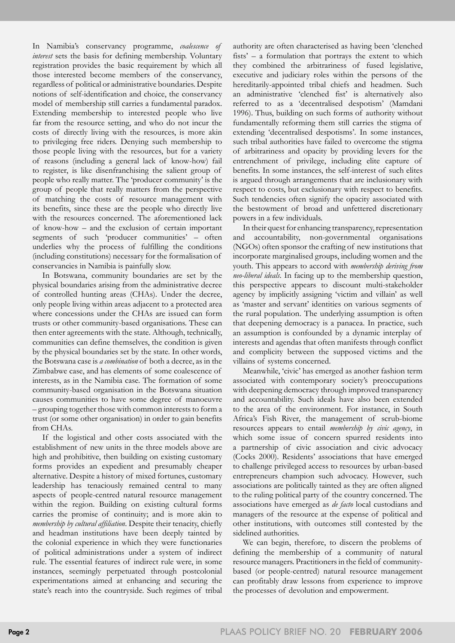In Namibia's conservancy programme, *coalescence of interest* sets the basis for defining membership. Voluntary registration provides the basic requirement by which all those interested become members of the conservancy, regardless of political or administrative boundaries. Despite notions of self-identification and choice, the conservancy model of membership still carries a fundamental paradox. Extending membership to interested people who live far from the resource setting, and who do not incur the costs of directly living with the resources, is more akin to privileging free riders. Denying such membership to those people living with the resources, but for a variety of reasons (including a general lack of know-how) fail to register, is like disenfranchising the salient group of people who really matter. The 'producer community' is the group of people that really matters from the perspective of matching the costs of resource management with its benefits, since these are the people who directly live with the resources concerned. The aforementioned lack of know-how – and the exclusion of certain important segments of such 'producer communities' – often underlies why the process of fulfilling the conditions (including constitutions) necessary for the formalisation of conservancies in Namibia is painfully slow.

In Botswana, community boundaries are set by the physical boundaries arising from the administrative decree of controlled hunting areas (CHAs). Under the decree, only people living within areas adjacent to a protected area where concessions under the CHAs are issued can form trusts or other community-based organisations. These can then enter agreements with the state. Although, technically, communities can define themselves, the condition is given by the physical boundaries set by the state. In other words, the Botswana case is *a combination* of both a decree, as in the Zimbabwe case, and has elements of some coalescence of interests, as in the Namibia case. The formation of some community-based organisation in the Botswana situation causes communities to have some degree of manoeuvre – grouping together those with common interests to form a trust (or some other organisation) in order to gain benefits from CHAs.

If the logistical and other costs associated with the establishment of new units in the three models above are high and prohibitive, then building on existing customary forms provides an expedient and presumably cheaper alternative. Despite a history of mixed fortunes, customary leadership has tenaciously remained central to many aspects of people-centred natural resource management within the region. Building on existing cultural forms carries the promise of continuity; and is more akin to *membership by cultural affiliation*. Despite their tenacity, chiefly and headman institutions have been deeply tainted by the colonial experience in which they were functionaries of political administrations under a system of indirect rule. The essential features of indirect rule were, in some instances, seemingly perpetuated through postcolonial experimentations aimed at enhancing and securing the state's reach into the countryside. Such regimes of tribal

authority are often characterised as having been 'clenched fists' – a formulation that portrays the extent to which they combined the arbitrariness of fused legislative, executive and judiciary roles within the persons of the hereditarily-appointed tribal chiefs and headmen. Such an administrative 'clenched fist' is alternatively also referred to as a 'decentralised despotism' (Mamdani 1996). Thus, building on such forms of authority without fundamentally reforming them still carries the stigma of extending 'decentralised despotisms'. In some instances, such tribal authorities have failed to overcome the stigma of arbitrariness and opacity by providing levers for the entrenchment of privilege, including elite capture of benefits. In some instances, the self-interest of such elites is argued through arrangements that are inclusionary with respect to costs, but exclusionary with respect to benefits. Such tendencies often signify the opacity associated with the bestowment of broad and unfettered discretionary powers in a few individuals.

In their quest for enhancing transparency, representation and accountability, non-governmental organisations (NGOs) often sponsor the crafting of new institutions that incorporate marginalised groups, including women and the youth. This appears to accord with *membership deriving from neo-liberal ideals*. In facing up to the membership question, this perspective appears to discount multi-stakeholder agency by implicitly assigning 'victim and villain' as well as 'master and servant' identities on various segments of the rural population. The underlying assumption is often that deepening democracy is a panacea. In practice, such an assumption is confounded by a dynamic interplay of interests and agendas that often manifests through conflict and complicity between the supposed victims and the villains of systems concerned.

Meanwhile, 'civic' has emerged as another fashion term associated with contemporary society's preoccupations with deepening democracy through improved transparency and accountability. Such ideals have also been extended to the area of the environment. For instance, in South Africa's Fish River, the management of scrub-biome resources appears to entail *membership by civic agency*, in which some issue of concern spurred residents into a partnership of civic association and civic advocacy (Cocks 2000). Residents' associations that have emerged to challenge privileged access to resources by urban-based entrepreneurs champion such advocacy. However, such associations are politically tainted as they are often aligned to the ruling political party of the country concerned. The associations have emerged as *de facto* local custodians and managers of the resource at the expense of political and other institutions, with outcomes still contested by the sidelined authorities.

We can begin, therefore, to discern the problems of defining the membership of a community of natural resource managers. Practitioners in the field of communitybased (or people-centred) natural resource management can profitably draw lessons from experience to improve the processes of devolution and empowerment.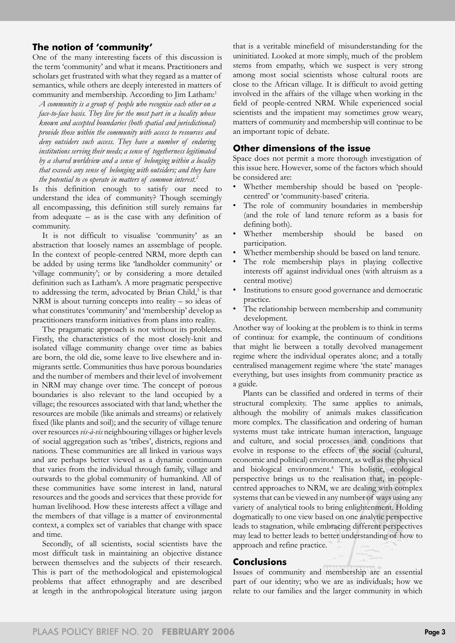## **The notion of 'community'**

One of the many interesting facets of this discussion is the term 'community' and what it means. Practitioners and scholars get frustrated with what they regard as a matter of semantics, while others are deeply interested in matters of community and membership. According to Jim Latham:<sup>1</sup>

*A community is a group of people who recognise each other on a face-to-face basis. They live for the most part in a locality whose known and accepted boundaries (both spatial and jurisdictional) provide those within the community with access to resources and deny outsiders such access. They have a number of enduring institutions serving their needs; a sense of togetherness legitimated by a shared worldview and a sense of belonging within a locality that exceeds any sense of belonging with outsiders; and they have the potential to co operate in matters of common interest.2*

Is this definition enough to satisfy our need to understand the idea of community? Though seemingly all encompassing, this definition still surely remains far from adequate – as is the case with any definition of community.

It is not difficult to visualise 'community' as an abstraction that loosely names an assemblage of people. In the context of people-centred NRM, more depth can be added by using terms like 'landholder community' or 'village community'; or by considering a more detailed definition such as Latham's. A more pragmatic perspective to addressing the term, advocated by Brian Child,<sup>3</sup> is that NRM is about turning concepts into reality – so ideas of what constitutes 'community' and 'membership' develop as practitioners transform initiatives from plans into reality.

The pragamatic approach is not without its problems. Firstly, the characteristics of the most closely-knit and isolated village community change over time as babies are born, the old die, some leave to live elsewhere and inmigrants settle. Communities thus have porous boundaries and the number of members and their level of involvement in NRM may change over time. The concept of porous boundaries is also relevant to the land occupied by a village; the resources associated with that land; whether the resources are mobile (like animals and streams) or relatively fixed (like plants and soil); and the security of village tenure over resources *vis-à-vis* neighbouring villages or higher levels of social aggregation such as 'tribes', districts, regions and nations. These communities are all linked in various ways and are perhaps better viewed as a dynamic continuum that varies from the individual through family, village and outwards to the global community of humankind. All of these communities have some interest in land, natural resources and the goods and services that these provide for human livelihood. How these interests affect a village and the members of that village is a matter of environmental context, a complex set of variables that change with space and time.

Secondly, of all scientists, social scientists have the most difficult task in maintaining an objective distance between themselves and the subjects of their research. This is part of the methodological and epistemological problems that affect ethnography and are described at length in the anthropological literature using jargon

that is a veritable minefield of misunderstanding for the uninitiated. Looked at more simply, much of the problem stems from empathy, which we suspect is very strong among most social scientists whose cultural roots are close to the African village. It is difficult to avoid getting involved in the affairs of the village when working in the field of people-centred NRM. While experienced social scientists and the impatient may sometimes grow weary, matters of community and membership will continue to be an important topic of debate.

#### **Other dimensions of the issue**

Space does not permit a more thorough investigation of this issue here. However, some of the factors which should be considered are:

- Whether membership should be based on 'peoplecentred' or 'community-based' criteria.
- The role of community boundaries in membership (and the role of land tenure reform as a basis for defining both).
- Whether membership should be based on participation.
- Whether membership should be based on land tenure.
- The role membership plays in playing collective interests off against individual ones (with altruism as a central motive)
- Institutions to ensure good governance and democratic practice.
- The relationship between membership and community development.

Another way of looking at the problem is to think in terms of continua: for example, the continuum of conditions that might lie between a totally devolved management regime where the individual operates alone; and a totally centralised management regime where 'the state' manages everything, but uses insights from community practice as a guide.

Plants can be classified and ordered in terms of their structural complexity. The same applies to animals, although the mobility of animals makes classification more complex. The classification and ordering of human systems must take intricate human interaction, language and culture, and social processes and conditions that evolve in response to the effects of the social (cultural, economic and political) environment, as well as the physical and biological environment.4 This holistic, ecological perspective brings us to the realisation that, in peoplecentred approaches to NRM, we are dealing with complex systems that can be viewed in any number of ways using any variety of analytical tools to bring enlightenment. Holding dogmatically to one view based on one analytic perspective leads to stagnation, while embracing different perspectives may lead to better leads to better understanding of how to approach and refine practice.

## **Conclusions**

Issues of community and membership are an essential part of our identity; who we are as individuals; how we relate to our families and the larger community in which